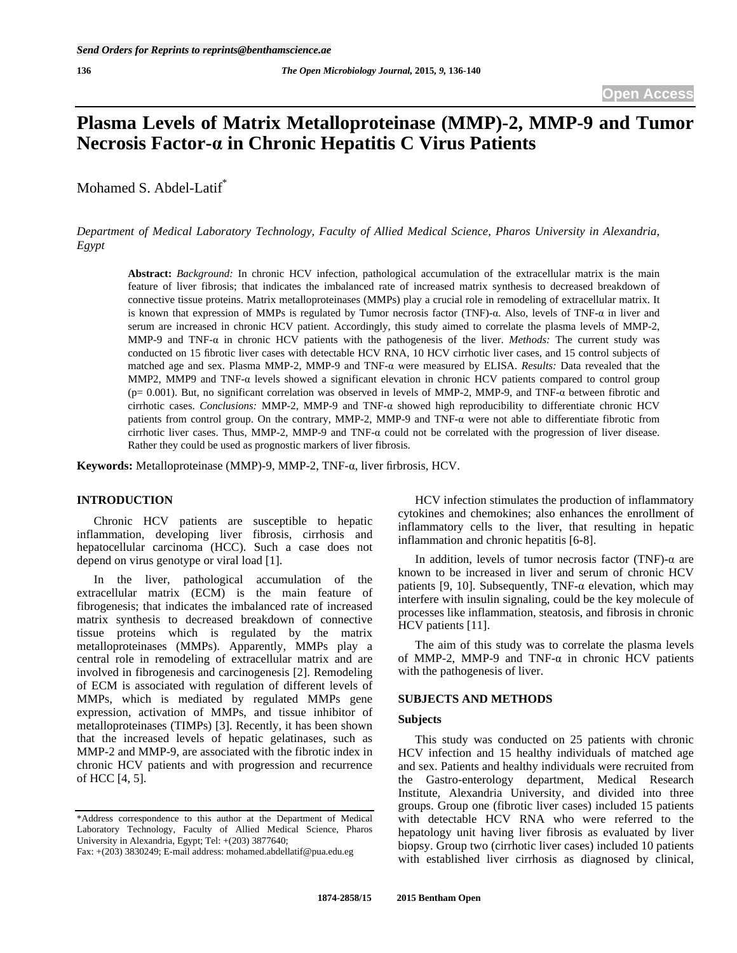# **Plasma Levels of Matrix Metalloproteinase (MMP)-2, MMP-9 and Tumor Necrosis Factor- in Chronic Hepatitis C Virus Patients**

Mohamed S. Abdel-Latif<sup>\*</sup>

*Department of Medical Laboratory Technology, Faculty of Allied Medical Science, Pharos University in Alexandria, Egypt* 

**Abstract:** *Background:* In chronic HCV infection, pathological accumulation of the extracellular matrix is the main feature of liver fibrosis; that indicates the imbalanced rate of increased matrix synthesis to decreased breakdown of connective tissue proteins. Matrix metalloproteinases (MMPs) play a crucial role in remodeling of extracellular matrix. It is known that expression of MMPs is regulated by Tumor necrosis factor (TNF)- $\alpha$ . Also, levels of TNF- $\alpha$  in liver and serum are increased in chronic HCV patient. Accordingly, this study aimed to correlate the plasma levels of MMP-2, MMP-9 and TNF- $\alpha$  in chronic HCV patients with the pathogenesis of the liver. *Methods:* The current study was conducted on 15 fibrotic liver cases with detectable HCV RNA, 10 HCV cirrhotic liver cases, and 15 control subjects of matched age and sex. Plasma MMP-2, MMP-9 and TNF-a were measured by ELISA. *Results:* Data revealed that the MMP2, MMP9 and TNF- $\alpha$  levels showed a significant elevation in chronic HCV patients compared to control group ( $p= 0.001$ ). But, no significant correlation was observed in levels of MMP-2, MMP-9, and TNF- $\alpha$  between fibrotic and cirrhotic cases. *Conclusions:* MMP-2, MMP-9 and TNF- $\alpha$  showed high reproducibility to differentiate chronic HCV patients from control group. On the contrary, MMP-2, MMP-9 and TNF- $\alpha$  were not able to differentiate fibrotic from cirrhotic liver cases. Thus, MMP-2, MMP-9 and TNF- $\alpha$  could not be correlated with the progression of liver disease. Rather they could be used as prognostic markers of liver fibrosis.

Keywords: Metalloproteinase (MMP)-9, MMP-2, TNF-a, liver firbrosis, HCV.

## **INTRODUCTION**

 Chronic HCV patients are susceptible to hepatic inflammation, developing liver fibrosis, cirrhosis and hepatocellular carcinoma (HCC). Such a case does not depend on virus genotype or viral load [1].

 In the liver, pathological accumulation of the extracellular matrix (ECM) is the main feature of fibrogenesis; that indicates the imbalanced rate of increased matrix synthesis to decreased breakdown of connective tissue proteins which is regulated by the matrix metalloproteinases (MMPs). Apparently, MMPs play a central role in remodeling of extracellular matrix and are involved in fibrogenesis and carcinogenesis [2]. Remodeling of ECM is associated with regulation of different levels of MMPs, which is mediated by regulated MMPs gene expression, activation of MMPs, and tissue inhibitor of metalloproteinases (TIMPs) [3]. Recently, it has been shown that the increased levels of hepatic gelatinases, such as MMP-2 and MMP-9, are associated with the fibrotic index in chronic HCV patients and with progression and recurrence of HCC [4, 5].

 HCV infection stimulates the production of inflammatory cytokines and chemokines; also enhances the enrollment of inflammatory cells to the liver, that resulting in hepatic inflammation and chronic hepatitis [6-8].

In addition, levels of tumor necrosis factor (TNF)- $\alpha$  are known to be increased in liver and serum of chronic HCV patients [9, 10]. Subsequently, TNF- $\alpha$  elevation, which may interfere with insulin signaling, could be the key molecule of processes like inflammation, steatosis, and fibrosis in chronic HCV patients [11].

 The aim of this study was to correlate the plasma levels of MMP-2, MMP-9 and TNF- $\alpha$  in chronic HCV patients with the pathogenesis of liver.

## **SUBJECTS AND METHODS**

#### **Subjects**

 This study was conducted on 25 patients with chronic HCV infection and 15 healthy individuals of matched age and sex. Patients and healthy individuals were recruited from the Gastro-enterology department, Medical Research Institute, Alexandria University, and divided into three groups. Group one (fibrotic liver cases) included 15 patients with detectable HCV RNA who were referred to the hepatology unit having liver fibrosis as evaluated by liver biopsy. Group two (cirrhotic liver cases) included 10 patients with established liver cirrhosis as diagnosed by clinical,

<sup>\*</sup>Address correspondence to this author at the Department of Medical Laboratory Technology, Faculty of Allied Medical Science, Pharos University in Alexandria, Egypt; Tel: +(203) 3877640;

Fax: +(203) 3830249; E-mail address: mohamed.abdellatif@pua.edu.eg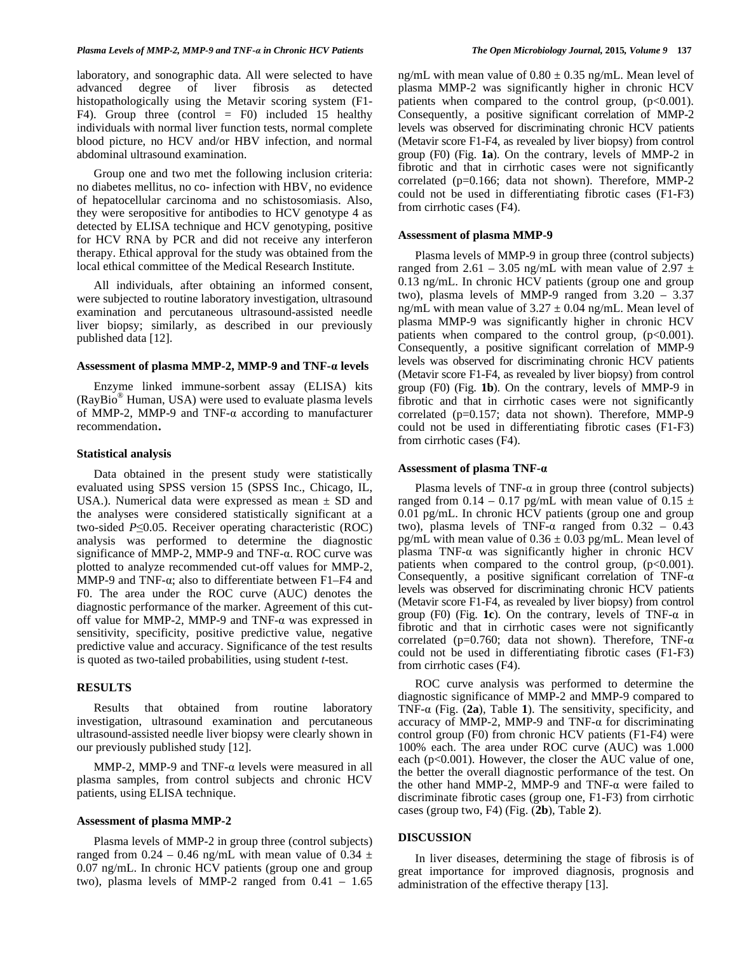laboratory, and sonographic data. All were selected to have advanced degree of liver fibrosis as detected histopathologically using the Metavir scoring system (F1- F4). Group three (control  $=$  F0) included 15 healthy individuals with normal liver function tests, normal complete blood picture, no HCV and/or HBV infection, and normal abdominal ultrasound examination.

 Group one and two met the following inclusion criteria: no diabetes mellitus, no co- infection with HBV, no evidence of hepatocellular carcinoma and no schistosomiasis. Also, they were seropositive for antibodies to HCV genotype 4 as detected by ELISA technique and HCV genotyping, positive for HCV RNA by PCR and did not receive any interferon therapy. Ethical approval for the study was obtained from the local ethical committee of the Medical Research Institute.

 All individuals, after obtaining an informed consent, were subjected to routine laboratory investigation, ultrasound examination and percutaneous ultrasound-assisted needle liver biopsy; similarly, as described in our previously published data [12].

#### Assessment of plasma MMP-2, MMP-9 and TNF- $\alpha$  levels

 Enzyme linked immune-sorbent assay (ELISA) kits (RayBio® Human, USA) were used to evaluate plasma levels of MMP-2, MMP-9 and TNF- $\alpha$  according to manufacturer recommendation.

#### **Statistical analysis**

 Data obtained in the present study were statistically evaluated using SPSS version 15 (SPSS Inc., Chicago, IL, USA.). Numerical data were expressed as mean  $\pm$  SD and the analyses were considered statistically significant at a two-sided  $P \leq 0.05$ . Receiver operating characteristic (ROC) analysis was performed to determine the diagnostic significance of MMP-2, MMP-9 and TNF- $\alpha$ . ROC curve was plotted to analyze recommended cut-off values for MMP-2, MMP-9 and TNF- $\alpha$ ; also to differentiate between F1–F4 and F0. The area under the ROC curve (AUC) denotes the diagnostic performance of the marker. Agreement of this cutoff value for MMP-2, MMP-9 and TNF- $\alpha$  was expressed in sensitivity, specificity, positive predictive value, negative predictive value and accuracy. Significance of the test results is quoted as two-tailed probabilities, using student *t*-test.

## **RESULTS**

 Results that obtained from routine laboratory investigation, ultrasound examination and percutaneous ultrasound-assisted needle liver biopsy were clearly shown in our previously published study [12].

MMP-2, MMP-9 and TNF- $\alpha$  levels were measured in all plasma samples, from control subjects and chronic HCV patients, using ELISA technique.

## **Assessment of plasma MMP-2**

 Plasma levels of MMP-2 in group three (control subjects) ranged from 0.24 – 0.46 ng/mL with mean value of 0.34  $\pm$ 0.07 ng/mL. In chronic HCV patients (group one and group two), plasma levels of MMP-2 ranged from 0.41 – 1.65

ng/mL with mean value of  $0.80 \pm 0.35$  ng/mL. Mean level of plasma MMP-2 was significantly higher in chronic HCV patients when compared to the control group,  $(p<0.001)$ . Consequently, a positive significant correlation of MMP-2 levels was observed for discriminating chronic HCV patients (Metavir score F1-F4, as revealed by liver biopsy) from control group (F0) (Fig. **1a**). On the contrary, levels of MMP-2 in fibrotic and that in cirrhotic cases were not significantly correlated (p=0.166; data not shown). Therefore, MMP-2 could not be used in differentiating fibrotic cases (F1-F3) from cirrhotic cases (F4).

#### **Assessment of plasma MMP-9**

 Plasma levels of MMP-9 in group three (control subjects) ranged from 2.61 – 3.05 ng/mL with mean value of 2.97  $\pm$ 0.13 ng/mL. In chronic HCV patients (group one and group two), plasma levels of MMP-9 ranged from 3.20 – 3.37 ng/mL with mean value of  $3.27 \pm 0.04$  ng/mL. Mean level of plasma MMP-9 was significantly higher in chronic HCV patients when compared to the control group,  $(p<0.001)$ . Consequently, a positive significant correlation of MMP-9 levels was observed for discriminating chronic HCV patients (Metavir score F1-F4, as revealed by liver biopsy) from control group (F0) (Fig. **1b**). On the contrary, levels of MMP-9 in fibrotic and that in cirrhotic cases were not significantly correlated (p=0.157; data not shown). Therefore, MMP-9 could not be used in differentiating fibrotic cases (F1-F3) from cirrhotic cases (F4).

### **Assessment of plasma TNF-**

Plasma levels of TNF- $\alpha$  in group three (control subjects) ranged from 0.14 – 0.17 pg/mL with mean value of 0.15  $\pm$ 0.01 pg/mL. In chronic HCV patients (group one and group two), plasma levels of TNF- $\alpha$  ranged from  $0.32 - 0.43$ pg/mL with mean value of  $0.36 \pm 0.03$  pg/mL. Mean level of plasma TNF- $\alpha$  was significantly higher in chronic HCV patients when compared to the control group,  $(p<0.001)$ . Consequently, a positive significant correlation of TNF- $\alpha$ levels was observed for discriminating chronic HCV patients (Metavir score F1-F4, as revealed by liver biopsy) from control group (F0) (Fig. 1c). On the contrary, levels of  $TNF-\alpha$  in fibrotic and that in cirrhotic cases were not significantly correlated (p=0.760; data not shown). Therefore, TNF- $\alpha$ could not be used in differentiating fibrotic cases (F1-F3) from cirrhotic cases (F4).

 ROC curve analysis was performed to determine the diagnostic significance of MMP-2 and MMP-9 compared to TNF- $\alpha$  (Fig. (2a), Table 1). The sensitivity, specificity, and accuracy of MMP-2, MMP-9 and TNF- $\alpha$  for discriminating control group (F0) from chronic HCV patients (F1-F4) were 100% each. The area under ROC curve (AUC) was 1.000 each (p<0.001). However, the closer the AUC value of one, the better the overall diagnostic performance of the test. On the other hand MMP-2, MMP-9 and TNF- $\alpha$  were failed to discriminate fibrotic cases (group one, F1-F3) from cirrhotic cases (group two, F4) (Fig. (**2b**), Table **2**).

#### **DISCUSSION**

 In liver diseases, determining the stage of fibrosis is of great importance for improved diagnosis, prognosis and administration of the effective therapy [13].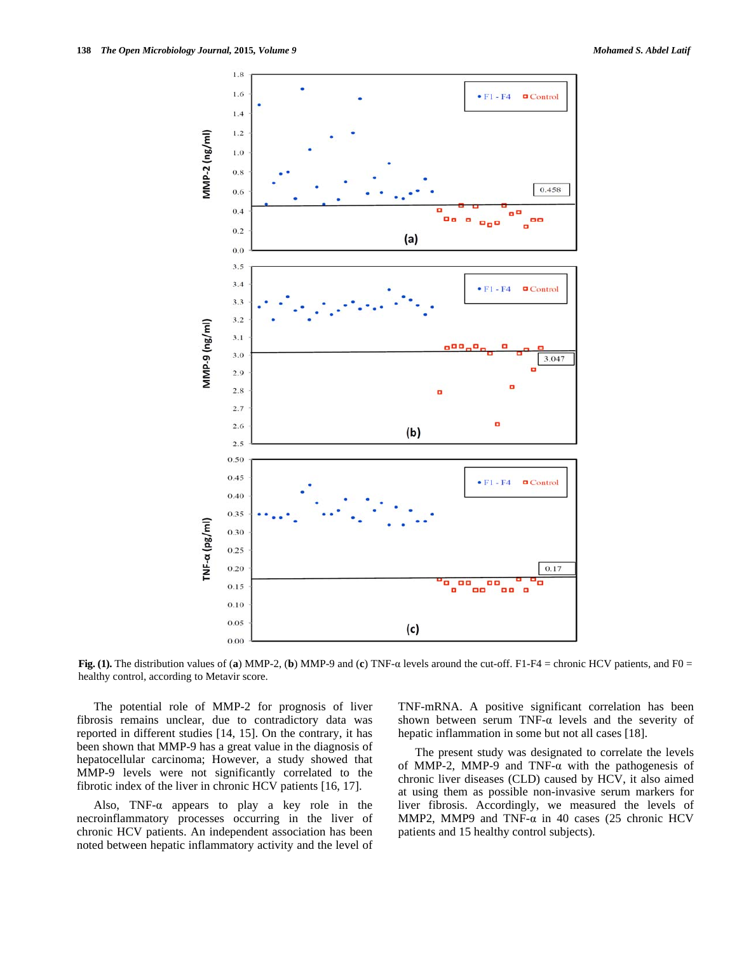

**Fig. (1).** The distribution values of (a) MMP-2, (b) MMP-9 and (c) TNF- $\alpha$  levels around the cut-off. F1-F4 = chronic HCV patients, and F0 = healthy control, according to Metavir score.

 The potential role of MMP-2 for prognosis of liver fibrosis remains unclear, due to contradictory data was reported in different studies [14, 15]. On the contrary, it has been shown that MMP-9 has a great value in the diagnosis of hepatocellular carcinoma; However, a study showed that MMP-9 levels were not significantly correlated to the fibrotic index of the liver in chronic HCV patients [16, 17].

Also, TNF- $\alpha$  appears to play a key role in the necroinflammatory processes occurring in the liver of chronic HCV patients. An independent association has been noted between hepatic inflammatory activity and the level of TNF-mRNA. A positive significant correlation has been shown between serum TNF- $\alpha$  levels and the severity of hepatic inflammation in some but not all cases [18].

 The present study was designated to correlate the levels of MMP-2, MMP-9 and TNF- $\alpha$  with the pathogenesis of chronic liver diseases (CLD) caused by HCV, it also aimed at using them as possible non-invasive serum markers for liver fibrosis. Accordingly, we measured the levels of MMP2, MMP9 and TNF- $\alpha$  in 40 cases (25 chronic HCV patients and 15 healthy control subjects).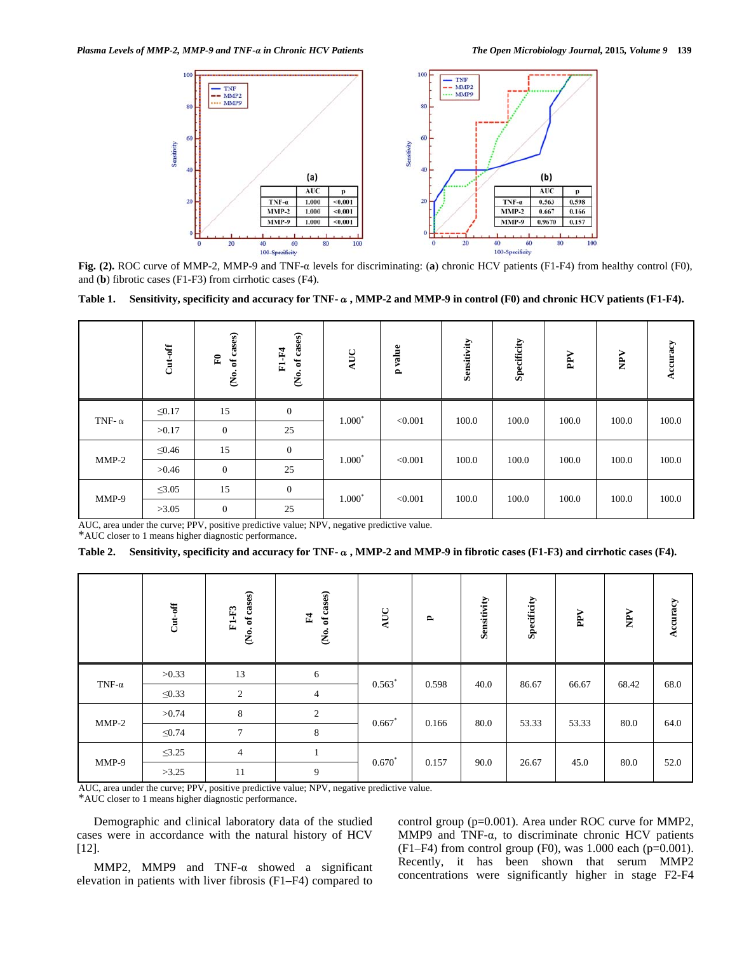

Fig. (2). ROC curve of MMP-2, MMP-9 and TNF- $\alpha$  levels for discriminating: (a) chronic HCV patients (F1-F4) from healthy control (F0), and (**b**) fibrotic cases (F1-F3) from cirrhotic cases (F4).

Table 1. Sensitivity, specificity and accuracy for TNF- $\alpha$ , MMP-2 and MMP-9 in control (F0) and chronic HCV patients (F1-F4).

|               | $Cut-off$   | of cases)<br>$\mathbf{E}$<br>ġ, | (No. of cases)<br>F1-F4 | AUC      | p value | Sensitivity | Specificity | PPV   | NPV   | Accuracy |
|---------------|-------------|---------------------------------|-------------------------|----------|---------|-------------|-------------|-------|-------|----------|
| TNF- $\alpha$ | $\leq 0.17$ | 15                              | $\mathbf{0}$            | $1.000*$ | < 0.001 | 100.0       | 100.0       | 100.0 | 100.0 | 100.0    |
|               | >0.17       | $\overline{0}$                  | 25                      |          |         |             |             |       |       |          |
| $MMP-2$       | $\leq 0.46$ | 15                              | $\mathbf{0}$            | $1.000*$ | < 0.001 | 100.0       | 100.0       | 100.0 | 100.0 | 100.0    |
|               | >0.46       | $\overline{0}$                  | 25                      |          |         |             |             |       |       |          |
| $MMP-9$       | $\leq$ 3.05 | 15                              | $\mathbf{0}$            | $1.000*$ | < 0.001 | 100.0       | 100.0       | 100.0 | 100.0 | 100.0    |
|               | >3.05       | $\overline{0}$                  | 25                      |          |         |             |             |       |       |          |

AUC, area under the curve; PPV, positive predictive value; NPV, negative predictive value. \*AUC closer to 1 means higher diagnostic performance.

Table 2. Sensitivity, specificity and accuracy for TNF- $\alpha$ , MMP-2 and MMP-9 in fibrotic cases (F1-F3) and cirrhotic cases (F4).

|               | $Cut-off$   | of cases)<br>$F1-F3$<br>ė, | of cases)<br>F4<br>$\mathbf{\hat{g}}$ | $\mathbf{AUC}$ | $\mathbf{r}$ | Sensitivity | Specificity | PPV   | $\mathbf{NPV}$ | Accuracy |
|---------------|-------------|----------------------------|---------------------------------------|----------------|--------------|-------------|-------------|-------|----------------|----------|
| TNF- $\alpha$ | >0.33       | 13                         | 6                                     | $0.563*$       | 0.598        | 40.0        | 86.67       | 66.67 | 68.42          | 68.0     |
|               | $\leq 0.33$ | 2                          | $\overline{4}$                        |                |              |             |             |       |                |          |
| $MMP-2$       | >0.74       | 8                          | $\overline{2}$                        | $0.667*$       | 0.166        | 80.0        | 53.33       | 53.33 | 80.0           | 64.0     |
|               | $\leq 0.74$ | $\overline{7}$             | 8                                     |                |              |             |             |       |                |          |
| MMP-9         | $\leq$ 3.25 | $\overline{4}$             | $\perp$                               |                | 0.157        | 90.0        | 26.67       | 45.0  | 80.0           | 52.0     |
|               | >3.25       | 11                         | 9                                     | $0.670*$       |              |             |             |       |                |          |

AUC, area under the curve; PPV, positive predictive value; NPV, negative predictive value.

\*AUC closer to 1 means higher diagnostic performance.

 Demographic and clinical laboratory data of the studied cases were in accordance with the natural history of HCV [12].

MMP2, MMP9 and TNF- $\alpha$  showed a significant elevation in patients with liver fibrosis (F1–F4) compared to

control group (p=0.001). Area under ROC curve for MMP2, MMP9 and TNF- $\alpha$ , to discriminate chronic HCV patients  $(F1-F4)$  from control group  $(F0)$ , was 1.000 each  $(p=0.001)$ . Recently, it has been shown that serum MMP2 concentrations were significantly higher in stage F2-F4